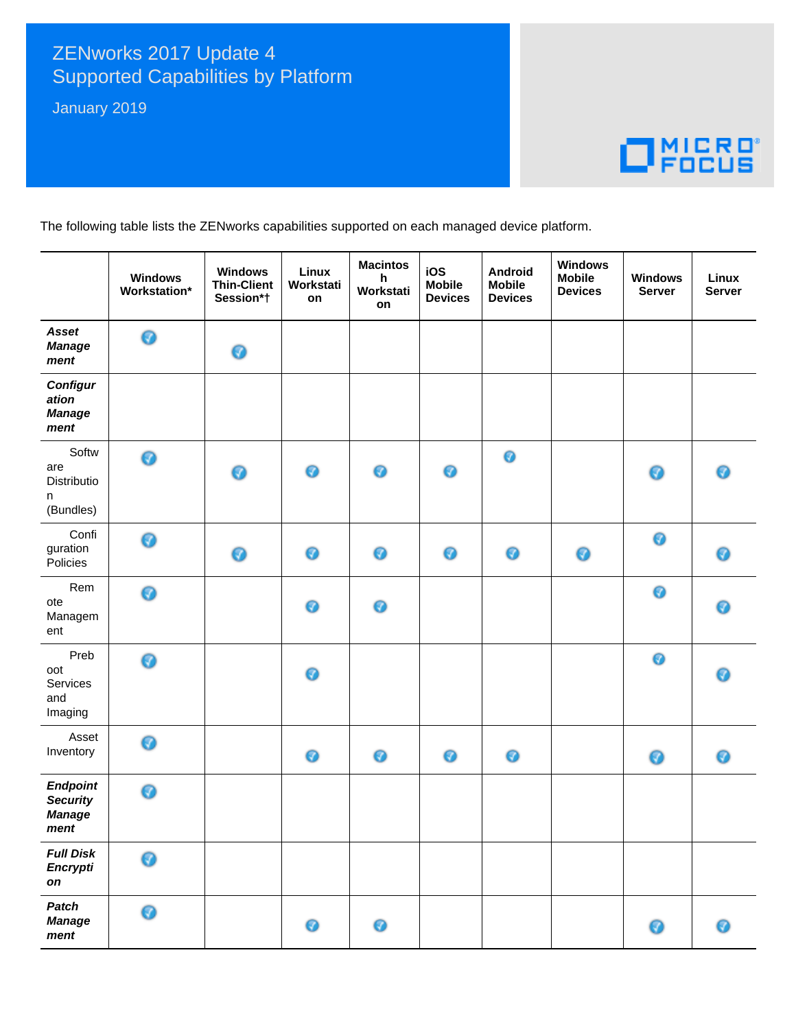## ZENworks 2017 Update 4 **Supported Capabilities by Platform**

January 2019

## $\Box$ <sup>MICRO</sup>

The following table lists the ZENworks capabilities supported on each managed device platform.

|                                                             | <b>Windows</b><br>Workstation* | <b>Windows</b><br><b>Thin-Client</b><br>Session*† | Linux<br>Workstati<br>on | <b>Macintos</b><br>h<br>Workstati<br>on | iOS<br><b>Mobile</b><br><b>Devices</b> | Android<br><b>Mobile</b><br><b>Devices</b> | <b>Windows</b><br><b>Mobile</b><br><b>Devices</b> | <b>Windows</b><br><b>Server</b> | Linux<br><b>Server</b> |
|-------------------------------------------------------------|--------------------------------|---------------------------------------------------|--------------------------|-----------------------------------------|----------------------------------------|--------------------------------------------|---------------------------------------------------|---------------------------------|------------------------|
| Asset<br><b>Manage</b><br>ment                              | 0                              | ◉                                                 |                          |                                         |                                        |                                            |                                                   |                                 |                        |
| <b>Configur</b><br>ation<br><b>Manage</b><br>ment           |                                |                                                   |                          |                                         |                                        |                                            |                                                   |                                 |                        |
| Softw<br>are<br>Distributio<br>n<br>(Bundles)               | 0                              | ◉                                                 | 0                        | 0                                       | 0                                      | $\bullet$                                  |                                                   | ◉                               | ◉                      |
| Confi<br>guration<br>Policies                               | 0                              | ◉                                                 | 0                        | 0                                       | ◉                                      | 0                                          | 0                                                 | $\bullet$                       | 0                      |
| Rem<br>ote<br>Managem<br>ent                                | 0                              |                                                   | 0                        | ◉                                       |                                        |                                            |                                                   | 0                               | 0                      |
| Preb<br>oot<br>Services<br>and<br>Imaging                   | 0                              |                                                   | 0                        |                                         |                                        |                                            |                                                   | 0                               | 0                      |
| Asset<br>Inventory                                          | 0                              |                                                   | 0                        | 0                                       | 0                                      | 0                                          |                                                   | ◉                               | ◉                      |
| <b>Endpoint</b><br><b>Security</b><br><b>Manage</b><br>ment | ◉                              |                                                   |                          |                                         |                                        |                                            |                                                   |                                 |                        |
| <b>Full Disk</b><br><b>Encrypti</b><br>on                   | ⋒                              |                                                   |                          |                                         |                                        |                                            |                                                   |                                 |                        |
| <b>Patch</b><br><b>Manage</b><br>ment                       | ◉                              |                                                   | ◉                        | 0                                       |                                        |                                            |                                                   | Ø                               | ◉                      |